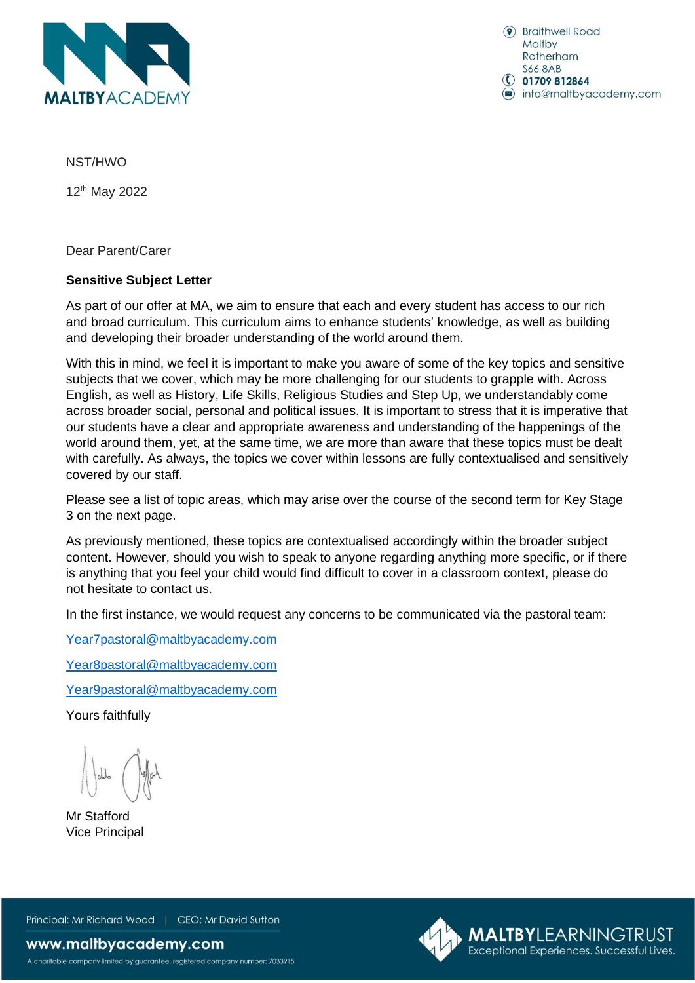

(a) Braithwell Road Maltby Rotherham **S66 8AB**  $\circ$  01709 812864 nfo@maltbyacademy.com

NST/HWO

12 th May 2022

Dear Parent/Carer

## **Sensitive Subject Letter**

As part of our offer at MA, we aim to ensure that each and every student has access to our rich and broad curriculum. This curriculum aims to enhance students' knowledge, as well as building and developing their broader understanding of the world around them.

With this in mind, we feel it is important to make you aware of some of the key topics and sensitive subjects that we cover, which may be more challenging for our students to grapple with. Across English, as well as History, Life Skills, Religious Studies and Step Up, we understandably come across broader social, personal and political issues. It is important to stress that it is imperative that our students have a clear and appropriate awareness and understanding of the happenings of the world around them, yet, at the same time, we are more than aware that these topics must be dealt with carefully. As always, the topics we cover within lessons are fully contextualised and sensitively covered by our staff.

Please see a list of topic areas, which may arise over the course of the second term for Key Stage 3 on the next page.

As previously mentioned, these topics are contextualised accordingly within the broader subject content. However, should you wish to speak to anyone regarding anything more specific, or if there is anything that you feel your child would find difficult to cover in a classroom context, please do not hesitate to contact us.

In the first instance, we would request any concerns to be communicated via the pastoral team:

[Year7pastoral@maltbyacademy.com](mailto:Year7pastoral@maltbyacademy.com)

[Year8pastoral@maltbyacademy.com](mailto:Year8pastoral@maltbyacademy.com)

[Year9pastoral@maltbyacademy.com](mailto:Year9pastoral@maltbyacademy.com)

Yours faithfully

Mr Stafford Vice Principal

Principal: Mr Richard Wood | CEO: Mr David Sutton

A charitable company limited by guarantee, registered company number: 7033915

www.maltbyacademy.com

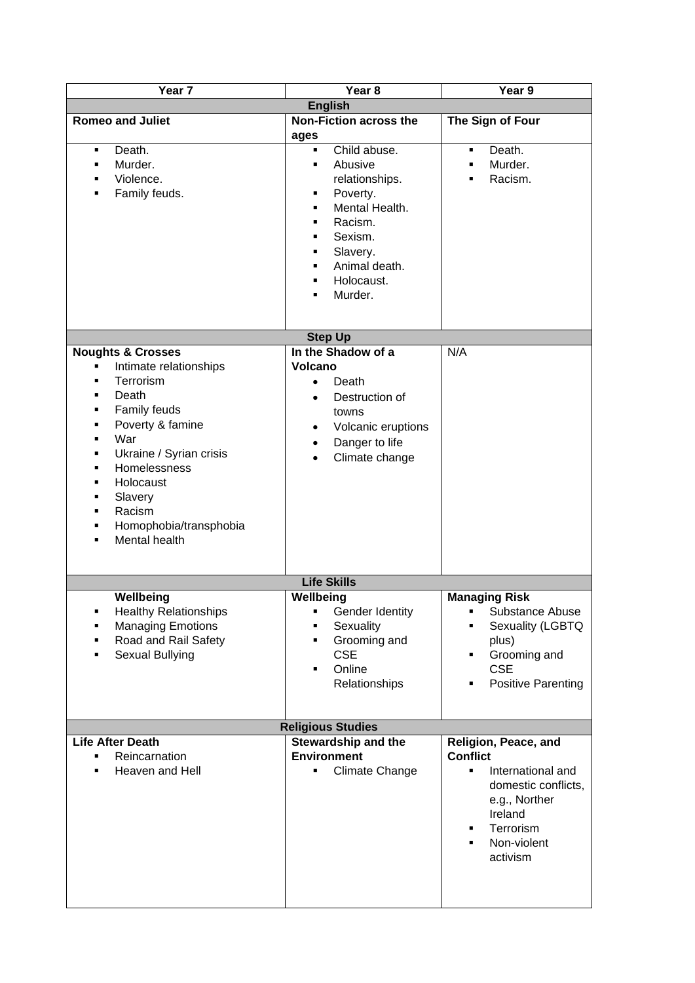| Year <sub>7</sub>                                                                                                                                                                                                                                                        | Year <sub>8</sub>                                                                                                                                                                                                               | Year 9                                                                                                                                                                              |
|--------------------------------------------------------------------------------------------------------------------------------------------------------------------------------------------------------------------------------------------------------------------------|---------------------------------------------------------------------------------------------------------------------------------------------------------------------------------------------------------------------------------|-------------------------------------------------------------------------------------------------------------------------------------------------------------------------------------|
| <b>English</b>                                                                                                                                                                                                                                                           |                                                                                                                                                                                                                                 |                                                                                                                                                                                     |
| <b>Romeo and Juliet</b>                                                                                                                                                                                                                                                  | <b>Non-Fiction across the</b><br>ages                                                                                                                                                                                           | The Sign of Four                                                                                                                                                                    |
| Death.<br>٠<br>Murder.<br>٠<br>Violence.<br>٠<br>Family feuds.<br>٠                                                                                                                                                                                                      | Child abuse.<br>$\blacksquare$<br>Abusive<br>$\blacksquare$<br>relationships.<br>Poverty.<br>٠<br>Mental Health.<br>٠<br>Racism.<br>٠<br>Sexism.<br>٠<br>Slavery.<br>٠<br>Animal death.<br>٠<br>Holocaust.<br>٠<br>Murder.<br>٠ | Death.<br>٠<br>Murder.<br>×,<br>Racism.<br>Ξ                                                                                                                                        |
|                                                                                                                                                                                                                                                                          |                                                                                                                                                                                                                                 |                                                                                                                                                                                     |
|                                                                                                                                                                                                                                                                          | <b>Step Up</b><br>In the Shadow of a                                                                                                                                                                                            | N/A                                                                                                                                                                                 |
| <b>Noughts &amp; Crosses</b><br>Intimate relationships<br>٠<br>Terrorism<br>Death<br>п<br>Family feuds<br>Poverty & famine<br>War<br>٠<br>Ukraine / Syrian crisis<br>٠<br>Homelessness<br>Holocaust<br>Slavery<br>٠<br>Racism<br>Homophobia/transphobia<br>Mental health | <b>Volcano</b><br>Death<br>$\bullet$<br>Destruction of<br>$\bullet$<br>towns<br>Volcanic eruptions<br>$\bullet$<br>Danger to life<br>$\bullet$<br>Climate change<br>$\bullet$                                                   |                                                                                                                                                                                     |
|                                                                                                                                                                                                                                                                          | <b>Life Skills</b>                                                                                                                                                                                                              |                                                                                                                                                                                     |
| Wellbeing<br><b>Healthy Relationships</b><br>٠<br><b>Managing Emotions</b><br>Road and Rail Safety<br>Sexual Bullying                                                                                                                                                    | Wellbeing<br>Gender Identity<br>٠<br>Sexuality<br>Grooming and<br>$\blacksquare$<br><b>CSE</b><br>Online<br>$\blacksquare$<br>Relationships                                                                                     | <b>Managing Risk</b><br>Substance Abuse<br>٠<br>Sexuality (LGBTQ<br>plus)<br>Grooming and<br>٠<br><b>CSE</b><br><b>Positive Parenting</b><br>Ξ                                      |
| <b>Religious Studies</b>                                                                                                                                                                                                                                                 |                                                                                                                                                                                                                                 |                                                                                                                                                                                     |
| <b>Life After Death</b><br>Reincarnation<br>П<br>Heaven and Hell<br>٠                                                                                                                                                                                                    | <b>Stewardship and the</b><br><b>Environment</b><br><b>Climate Change</b><br>٠                                                                                                                                                  | Religion, Peace, and<br><b>Conflict</b><br>International and<br>$\blacksquare$<br>domestic conflicts,<br>e.g., Norther<br>Ireland<br>Terrorism<br>٠<br>Non-violent<br>٠<br>activism |